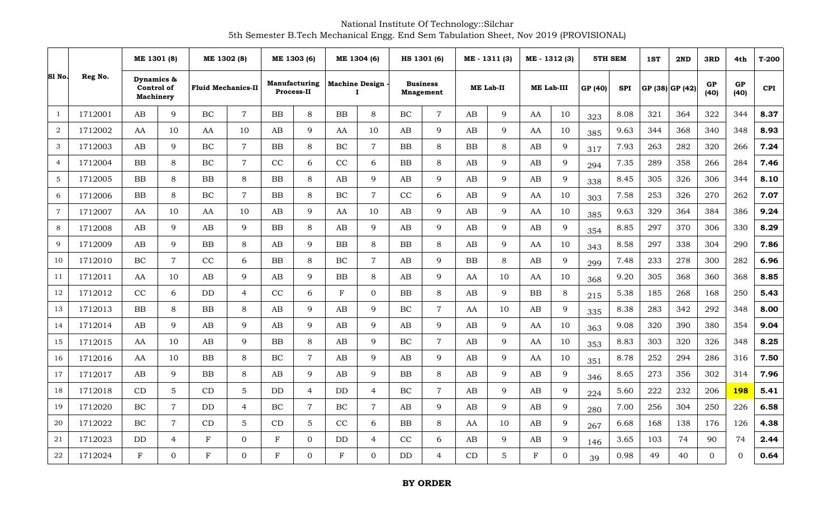National Institute Of Technology::Silchar 5th Semester B.Tech Mechanical Engg. End Sem Tabulation Sheet, Nov 2019 (PROVISIONAL)

|                |         |                                              | ME 1301 (8)<br>ME 1302 (8) |              | ME 1303 (6)               |             | ME 1304 (6)                        |                            | HS 1301 (6)    |                                     |                | ME - 1311 (3) | ME - 1312 (3)    |            | <b>5TH SEM</b>    |         | 1ST        | 2ND             | 3RD | 4th        | $T-200$    |            |
|----------------|---------|----------------------------------------------|----------------------------|--------------|---------------------------|-------------|------------------------------------|----------------------------|----------------|-------------------------------------|----------------|---------------|------------------|------------|-------------------|---------|------------|-----------------|-----|------------|------------|------------|
| SI No.         | Reg No. | Dynamics &<br>Control of<br><b>Machinery</b> |                            |              | <b>Fluid Mechanics-II</b> |             | Manufacturing<br><b>Process-II</b> | <b>Machine Design</b><br>Т |                | <b>Business</b><br><b>Mnagement</b> |                |               | <b>ME Lab-II</b> |            | <b>ME Lab-III</b> | GP (40) | <b>SPI</b> | GP (38) GP (42) |     | GP<br>(40) | GP<br>(40) | <b>CPI</b> |
| $\overline{1}$ | 1712001 | AB                                           | 9                          | <b>BC</b>    | $\overline{7}$            | BB          | 8                                  | BB                         | 8              | BC                                  | $\overline{7}$ | AB            | 9                | AA         | 10                | 323     | 8.08       | 321             | 364 | 322        | 344        | 8.37       |
| $\overline{2}$ | 1712002 | AA                                           | 10                         | AA           | 10                        | AB          | 9                                  | AA                         | 10             | AB                                  | 9              | AB            | 9                | AA         | 10                | 385     | 9.63       | 344             | 368 | 340        | 348        | 8.93       |
| 3              | 1712003 | AB                                           | 9                          | BC           | $\overline{7}$            | <b>BB</b>   | 8                                  | BC                         | $\overline{7}$ | <b>BB</b>                           | 8              | <b>BB</b>     | 8                | AB         | 9                 | 317     | 7.93       | 263             | 282 | 320        | 266        | 7.24       |
| $\overline{4}$ | 1712004 | BB                                           | 8                          | BC           | $\overline{7}$            | CC          | 6                                  | CC                         | 6              | BB                                  | 8              | AB            | 9                | AB         | $\mathbf Q$       | 294     | 7.35       | 289             | 358 | 266        | 284        | 7.46       |
| 5              | 1712005 | <b>BB</b>                                    | 8                          | BB           | 8                         | <b>BB</b>   | 8                                  | AB                         | $\mathbf{Q}$   | AB                                  | 9              | AB            | $\mathbf Q$      | AB         | 9                 | 338     | 8.45       | 305             | 326 | 306        | 344        | 8.10       |
| 6              | 1712006 | <b>BB</b>                                    | 8                          | BC           | $\overline{7}$            | <b>BB</b>   | 8                                  | BC                         | $\overline{7}$ | CC                                  | 6              | AB            | 9                | AA         | 10                | 303     | 7.58       | 253             | 326 | 270        | 262        | 7.07       |
| $\overline{7}$ | 1712007 | AA                                           | 10                         | AA           | 10                        | AB          | 9                                  | AA                         | 10             | AB                                  | 9              | AB            | 9                | AA         | 10                | 385     | 9.63       | 329             | 364 | 384        | 386        | 9.24       |
| 8              | 1712008 | AB                                           | 9                          | AB           | 9                         | <b>BB</b>   | 8                                  | AB                         | $\mathbf{Q}$   | AB                                  | 9              | AB            | 9                | AB         | 9                 | 354     | 8.85       | 297             | 370 | 306        | 330        | 8.29       |
| 9              | 1712009 | AB                                           | 9                          | BB           | 8                         | AB          | 9                                  | BB                         | 8              | BB                                  | 8              | AB            | 9                | AA         | 10                | 343     | 8.58       | 297             | 338 | 304        | 290        | 7.86       |
| 10             | 1712010 | $\rm BC$                                     | $\overline{7}$             | CC           | 6                         | BB          | 8                                  | BC                         | $\overline{7}$ | AB                                  | 9              | <b>BB</b>     | $\,8\,$          | AB         | $\mathbf Q$       | 299     | 7.48       | 233             | 278 | 300        | 282        | 6.96       |
| 11             | 1712011 | AA                                           | 10                         | AB           | 9                         | AB          | 9                                  | BB                         | 8              | AB                                  | 9              | AA            | 10               | AA         | 10                | 368     | 9.20       | 305             | 368 | 360        | 368        | 8.85       |
| 12             | 1712012 | CC                                           | 6                          | <b>DD</b>    | $\overline{4}$            | CC          | 6                                  | $\mathbf F$                | $\Omega$       | BB                                  | 8              | AB            | 9                | BB         | 8                 | 215     | 5.38       | 185             | 268 | 168        | 250        | 5.43       |
| 13             | 1712013 | ${\bf BB}$                                   | 8                          | BB           | 8                         | AB          | 9                                  | $\mathbf{A}\mathbf{B}$     | 9              | BC                                  | $\overline{7}$ | AA            | 10               | AB         | 9                 | 335     | 8.38       | 283             | 342 | 292        | 348        | 8.00       |
| 14             | 1712014 | AB                                           | $\mathbf{Q}$               | AB           | 9                         | AB          | 9                                  | AB                         | $\mathbf{Q}$   | AB                                  | 9              | AB            | 9                | AA         | 10                | 363     | 9.08       | 320             | 390 | 380        | 354        | 9.04       |
| 15             | 1712015 | AA                                           | 10                         | AB           | 9                         | BB          | 8                                  | AB                         | $\mathbf{Q}$   | BC                                  | $\overline{7}$ | AB            | 9                | AA         | 10                | 353     | 8.83       | 303             | 320 | 326        | 348        | 8.25       |
| 16             | 1712016 | AA                                           | 10                         | <b>BB</b>    | $8\,$                     | BC          | $\overline{7}$                     | AB                         | $\mathbf Q$    | AB                                  | 9              | AB            | 9                | AA         | 10                | 351     | 8.78       | 252             | 294 | 286        | 316        | 7.50       |
| 17             | 1712017 | AB                                           | 9                          | BB           | $8\,$                     | AB          | 9                                  | $\mathbf{A}\mathbf{B}$     | $\mathbf Q$    | ${\bf BB}$                          | 8              | AB            | 9                | AB         | 9                 | 346     | 8.65       | 273             | 356 | 302        | 314        | 7.96       |
| 18             | 1712018 | CD                                           | 5                          | CD           | 5                         | <b>DD</b>   | $\overline{4}$                     | $\rm{DD}$                  | $\overline{4}$ | BC                                  | $7\phantom{.}$ | AB            | 9                | AB         | 9                 | 224     | 5.60       | 222             | 232 | 206        | 198        | 5.41       |
| 19             | 1712020 | $\rm BC$                                     | $\overline{7}$             | <b>DD</b>    | $\overline{4}$            | BC          | $\overline{7}$                     | BC                         | $\overline{7}$ | AB                                  | 9              | AB            | 9                | AB         | 9                 | 280     | 7.00       | 256             | 304 | 250        | 226        | 6.58       |
| 20             | 1712022 | $\rm BC$                                     | $\overline{7}$             | CD           | $\mathbf 5$               | CD          | 5                                  | CC                         | 6              | ${\bf BB}$                          | 8              | AA            | 10               | AB         | $\mathbf Q$       | 267     | 6.68       | 168             | 138 | 176        | 126        | 4.38       |
| 21             | 1712023 | <b>DD</b>                                    | $\overline{4}$             | $\mathbf{F}$ | $\mathbf 0$               | F           | 0                                  | DD                         | $\overline{4}$ | CC                                  | 6              | AB            | 9                | AB         | 9                 | 146     | 3.65       | 103             | 74  | 90         | 74         | 2.44       |
| 22             | 1712024 | F                                            | 0                          | $\mathbf F$  | $\overline{0}$            | $\mathbf F$ | $\Omega$                           | $\mathbf F$                | $\Omega$       | DD                                  | $\overline{4}$ | CD            | 5                | $_{\rm F}$ | $\Omega$          | 39      | 0.98       | 49              | 40  | $\Omega$   | $\Omega$   | 0.64       |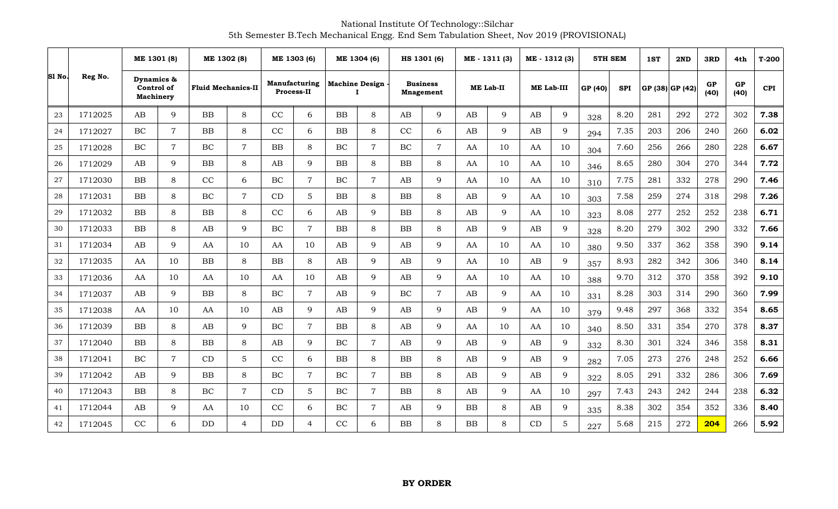National Institute Of Technology::Silchar 5th Semester B.Tech Mechanical Engg. End Sem Tabulation Sheet, Nov 2019 (PROVISIONAL)

|        |         | ME 1301 (8)                                  |                | ME 1302 (8)               |                | ME 1303 (6)                        |                | ME 1304 (6)                          |                | HS 1301 (6)                         |                |                        | ME - 1311 (3)    | ME - 1312 (3) |                   | 5TH SEM |            | 1ST | 2ND             | 3RD        | 4th               | $T-200$    |
|--------|---------|----------------------------------------------|----------------|---------------------------|----------------|------------------------------------|----------------|--------------------------------------|----------------|-------------------------------------|----------------|------------------------|------------------|---------------|-------------------|---------|------------|-----|-----------------|------------|-------------------|------------|
| Sl No. | Reg No. | Dynamics &<br>Control of<br><b>Machinery</b> |                | <b>Fluid Mechanics-II</b> |                | Manufacturing<br><b>Process-II</b> |                | <b>Machine Design</b><br>$\mathbf I$ |                | <b>Business</b><br><b>Mnagement</b> |                |                        | <b>ME Lab-II</b> |               | <b>ME Lab-III</b> | GP (40) | <b>SPI</b> |     | GP (38) GP (42) | GP<br>(40) | <b>GP</b><br>(40) | <b>CPI</b> |
| 23     | 1712025 | AB                                           | 9              | BB                        | 8              | CC                                 | 6              | BB                                   | 8              | AB                                  | 9              | $\mathbf{A}\mathbf{B}$ | 9                | AB            | $\mathbf{Q}$      | 328     | 8.20       | 281 | 292             | 272        | 302               | 7.38       |
| 24     | 1712027 | BC                                           | $\overline{7}$ | $\rm BB$                  | 8              | CC                                 | 6              | $_{\rm BB}$                          | 8              | CC                                  | 6              | AB                     | 9                | AB            | 9                 | 294     | 7.35       | 203 | 206             | 240        | 260               | 6.02       |
| 25     | 1712028 | BC                                           | $\overline{7}$ | $\rm BC$                  | $\overline{7}$ | <b>BB</b>                          | 8              | $\rm BC$                             | 7              | $\rm BC$                            | $\overline{7}$ | AA                     | 10               | AA            | 10                | 304     | 7.60       | 256 | 266             | 280        | 228               | 6.67       |
| 26     | 1712029 | AB                                           | 9              | BB                        | 8              | AB                                 | $\mathbf{Q}$   | <b>BB</b>                            | 8              | BB                                  | 8              | AA                     | 10               | AA            | 10                | 346     | 8.65       | 280 | 304             | 270        | 344               | 7.72       |
| 27     | 1712030 | <b>BB</b>                                    | 8              | CC                        | 6              | <b>BC</b>                          | $\overline{7}$ | BC                                   | $\overline{7}$ | AB                                  | 9              | AA                     | 10               | AA            | 10                | 310     | 7.75       | 281 | 332             | 278        | 290               | 7.46       |
| 28     | 1712031 | BB                                           | 8              | $\rm BC$                  | $\overline{7}$ | CD                                 | 5              | BB                                   | 8              | BB                                  | 8              | AB                     | 9                | AA            | 10                | 303     | 7.58       | 259 | 274             | 318        | 298               | 7.26       |
| 29     | 1712032 | <b>BB</b>                                    | 8              | <b>BB</b>                 | 8              | CC                                 | 6              | AB                                   | 9              | <b>BB</b>                           | 8              | AB                     | 9                | AA            | 10                | 323     | 8.08       | 277 | 252             | 252        | 238               | 6.71       |
| 30     | 1712033 | <b>BB</b>                                    | 8              | AB                        | 9              | <b>BC</b>                          | $\overline{7}$ | <b>BB</b>                            | 8              | <b>BB</b>                           | 8              | AB                     | 9                | AB            | $\mathbf{Q}$      | 328     | 8.20       | 279 | 302             | 290        | 332               | 7.66       |
| 31     | 1712034 | AB                                           | 9              | AA                        | 10             | AA                                 | 10             | AB                                   | 9              | AB                                  | 9              | AA                     | 10               | AA            | 10                | 380     | 9.50       | 337 | 362             | 358        | 390               | 9.14       |
| 32     | 1712035 | AA                                           | 10             | BB                        | 8              | BB                                 | 8              | AB                                   | $\mathbf Q$    | AB                                  | 9              | AA                     | 10               | AB            | $\mathbf{Q}$      | 357     | 8.93       | 282 | 342             | 306        | 340               | 8.14       |
| 33     | 1712036 | AA                                           | 10             | AA                        | 10             | AA                                 | 10             | AB                                   | 9              | AB                                  | 9              | AA                     | 10               | AA            | 10                | 388     | 9.70       | 312 | 370             | 358        | 392               | 9.10       |
| 34     | 1712037 | AB                                           | 9              | BB                        | 8              | <b>BC</b>                          | $\overline{7}$ | AB                                   | $\mathbf Q$    | <b>BC</b>                           | $\overline{7}$ | AB                     | 9                | AA            | 10                | 331     | 8.28       | 303 | 314             | 290        | 360               | 7.99       |
| 35     | 1712038 | AA                                           | 10             | AA                        | 10             | AB                                 | $\mathbf{Q}$   | $\mathbf{A}\mathbf{B}$               | 9              | AB                                  | 9              | AB                     | 9                | AA            | 10                | 379     | 9.48       | 297 | 368             | 332        | 354               | 8.65       |
| 36     | 1712039 | <b>BB</b>                                    | 8              | AB                        | 9              | $\rm BC$                           | $\overline{7}$ | ${\bf BB}$                           | 8              | AB                                  | 9              | AA                     | 10               | AA            | 10                | 340     | 8.50       | 331 | 354             | 270        | 378               | 8.37       |
| 37     | 1712040 | BB                                           | 8              | <b>BB</b>                 | 8              | AB                                 | $\mathbf Q$    | BC                                   | $\overline{7}$ | AB                                  | 9              | AB                     | 9                | AB            | $\mathbf{Q}$      | 332     | 8.30       | 301 | 324             | 346        | 358               | 8.31       |
| 38     | 1712041 | BC                                           | $\overline{7}$ | CD                        | 5              | CC                                 | 6              | BB                                   | 8              | BB                                  | 8              | AB                     | 9                | AB            | 9                 | 282     | 7.05       | 273 | 276             | 248        | 252               | 6.66       |
| 39     | 1712042 | AB                                           | 9              | $\rm BB$                  | 8              | $\rm BC$                           | $\overline{7}$ | $\rm BC$                             | $\overline{7}$ | BB                                  | 8              | AB                     | 9                | AB            | $\mathbf{Q}$      | 322     | 8.05       | 291 | 332             | 286        | 306               | 7.69       |
| 40     | 1712043 | <b>BB</b>                                    | 8              | <b>BC</b>                 | $\overline{7}$ | CD                                 | $5^{\circ}$    | BC                                   | $\overline{7}$ | <b>BB</b>                           | 8              | AB                     | 9                | AA            | 10                | 297     | 7.43       | 243 | 242             | 244        | 238               | 6.32       |
| 41     | 1712044 | AB                                           | 9              | AA                        | 10             | CC                                 | 6              | BC                                   | $\overline{7}$ | AB                                  | 9              | BB                     | 8                | AB            | $\mathbf{Q}$      | 335     | 8.38       | 302 | 354             | 352        | 336               | 8.40       |
| 42     | 1712045 | CC                                           | 6              | DD                        | $\overline{4}$ | DD                                 | 4              | CC                                   | 6              | BB                                  | 8              | <b>BB</b>              | 8                | CD            | 5                 | 227     | 5.68       | 215 | 272             | 204        | 266               | 5.92       |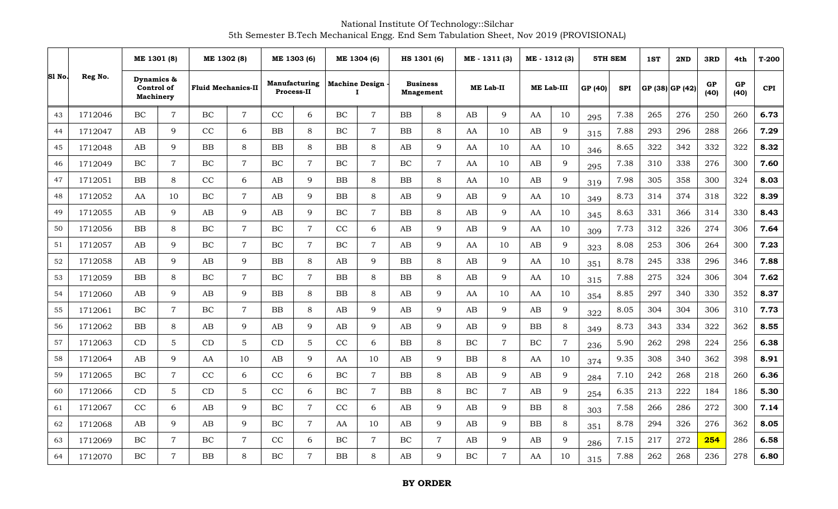National Institute Of Technology::Silchar 5th Semester B.Tech Mechanical Engg. End Sem Tabulation Sheet, Nov 2019 (PROVISIONAL)

| Sl No. |         | ME 1301 (8)                                  |                 | ME 1302 (8)               |                  | ME 1303 (6) |                                           | ME 1304 (6) |                                   |                        | HS 1301 (6)                         |           | ME - 1311 (3)    | ME - 1312 (3) |                |         | <b>5TH SEM</b> | 1ST | 2ND             | 3RD        | 4th        | $T-200$    |
|--------|---------|----------------------------------------------|-----------------|---------------------------|------------------|-------------|-------------------------------------------|-------------|-----------------------------------|------------------------|-------------------------------------|-----------|------------------|---------------|----------------|---------|----------------|-----|-----------------|------------|------------|------------|
|        | Reg No. | Dynamics &<br>Control of<br><b>Machinery</b> |                 | <b>Fluid Mechanics-II</b> |                  |             | <b>Manufacturing</b><br><b>Process-II</b> |             | <b>Machine Design</b><br>$\bf{I}$ |                        | <b>Business</b><br><b>Mnagement</b> |           | <b>ME Lab-II</b> | ME Lab-III    |                | GP (40) | <b>SPI</b>     |     | GP (38) GP (42) | GP<br>(40) | GP<br>(40) | <b>CPI</b> |
| 43     | 1712046 | BC                                           | $\overline{7}$  | BC                        | $\overline{7}$   | CC          | 6                                         | BC          | $\overline{7}$                    | <b>BB</b>              | 8                                   | AB        | 9                | AA            | 10             | 295     | 7.38           | 265 | 276             | 250        | 260        | 6.73       |
| 44     | 1712047 | AB                                           | 9               | CC                        | 6                | $\rm BB$    | 8                                         | BC          | $\overline{7}$                    | BB                     | 8                                   | AA        | 10               | AB            | 9              | 315     | 7.88           | 293 | 296             | 288        | 266        | 7.29       |
| 45     | 1712048 | AB                                           | 9               | BB                        | 8                | BB          | 8                                         | BB          | 8                                 | AB                     | 9                                   | AA        | 10               | AA            | 10             | 346     | 8.65           | 322 | 342             | 332        | 322        | 8.32       |
| 46     | 1712049 | BC                                           | $\overline{7}$  | BC                        | $\overline{7}$   | BC          | $\overline{7}$                            | $\rm BC$    | $\overline{7}$                    | BC                     | $\overline{7}$                      | AA        | 10               | AB            | 9              | 295     | 7.38           | 310 | 338             | 276        | 300        | 7.60       |
| 47     | 1712051 | <b>BB</b>                                    | 8               | CC                        | 6                | AB          | 9                                         | ${\rm BB}$  | 8                                 | BB                     | 8                                   | AA        | 10               | AB            | 9              | 319     | 7.98           | 305 | 358             | 300        | 324        | 8.03       |
| 48     | 1712052 | AA                                           | 10              | $\rm BC$                  | $\overline{7}$   | AB          | 9                                         | ${\bf BB}$  | 8                                 | $\mathbf{A}\mathbf{B}$ | 9                                   | AB        | 9                | AA            | 10             | 349     | 8.73           | 314 | 374             | 318        | 322        | 8.39       |
| 49     | 1712055 | AB                                           | 9               | AB                        | 9                | AB          | $\mathbf{Q}$                              | BC          | $\overline{7}$                    | <b>BB</b>              | 8                                   | AB        | 9                | AA            | 10             | 345     | 8.63           | 331 | 366             | 314        | 330        | 8.43       |
| 50     | 1712056 | <b>BB</b>                                    | 8               | $\rm BC$                  | $\overline{7}$   | $\rm BC$    | $\overline{7}$                            | CC          | 6                                 | AB                     | 9                                   | AB        | 9                | AA            | 10             | 309     | 7.73           | 312 | 326             | 274        | 306        | 7.64       |
| 51     | 1712057 | AB                                           | 9               | BC                        | $\overline{7}$   | <b>BC</b>   | $\overline{7}$                            | BC          | $\overline{7}$                    | AB                     | 9                                   | AA        | 10               | AB            | 9              | 323     | 8.08           | 253 | 306             | 264        | 300        | 7.23       |
| 52     | 1712058 | AB                                           | $\mathbf{Q}$    | AB                        | 9                | ${\bf BB}$  | 8                                         | AB          | $\mathbf Q$                       | ${\bf BB}$             | 8                                   | AB        | 9                | AA            | 10             | 351     | 8.78           | 245 | 338             | 296        | 346        | 7.88       |
| 53     | 1712059 | <b>BB</b>                                    | 8               | BC                        | $\overline{7}$   | BC          | $\overline{7}$                            | BB          | 8                                 | <b>BB</b>              | 8                                   | AB        | 9                | AA            | 10             | 315     | 7.88           | 275 | 324             | 306        | 304        | 7.62       |
| 54     | 1712060 | AB                                           | 9               | AB                        | 9                | <b>BB</b>   | 8                                         | BB          | 8                                 | AB                     | 9                                   | AA        | 10               | AA            | 10             | 354     | 8.85           | 297 | 340             | 330        | 352        | 8.37       |
| 55     | 1712061 | BC                                           | $\overline{7}$  | $\rm BC$                  | $\boldsymbol{7}$ | <b>BB</b>   | 8                                         | AB          | 9                                 | AB                     | 9                                   | AB        | 9                | AB            | 9              | 322     | 8.05           | 304 | 304             | 306        | 310        | 7.73       |
| 56     | 1712062 | <b>BB</b>                                    | 8               | AB                        | 9                | AB          | 9                                         | AB          | 9                                 | $\mathbf{A}\mathbf{B}$ | 9                                   | AB        | 9                | <b>BB</b>     | 8              | 349     | 8.73           | 343 | 334             | 322        | 362        | 8.55       |
| 57     | 1712063 | CD                                           | $5\overline{)}$ | CD                        | $\sqrt{5}$       | CD          | 5                                         | CC          | 6                                 | ${\bf BB}$             | 8                                   | BC        | $\overline{7}$   | BC            | $\overline{7}$ | 236     | 5.90           | 262 | 298             | 224        | 256        | 6.38       |
| 58     | 1712064 | AB                                           | $\mathbf{Q}$    | AA                        | 10               | AB          | 9                                         | AA          | 10                                | AB                     | 9                                   | <b>BB</b> | 8                | AA            | 10             | 374     | 9.35           | 308 | 340             | 362        | 398        | 8.91       |
| 59     | 1712065 | BC                                           | $\overline{7}$  | CC                        | 6                | CC          | 6                                         | $\rm BC$    | $\overline{7}$                    | <b>BB</b>              | 8                                   | AB        | 9                | AB            | 9              | 284     | 7.10           | 242 | 268             | 218        | 260        | 6.36       |
| 60     | 1712066 | CD                                           | $5\phantom{.}$  | CD                        | $\sqrt{5}$       | CC          | 6                                         | BC          | $\overline{7}$                    | <b>BB</b>              | 8                                   | <b>BC</b> | $\overline{7}$   | AB            | 9              | 254     | 6.35           | 213 | 222             | 184        | 186        | 5.30       |
| 61     | 1712067 | CC                                           | 6               | AB                        | 9                | $\rm BC$    | $\overline{7}$                            | CC          | 6                                 | $\mathbf{A}\mathbf{B}$ | 9                                   | AB        | 9                | BB            | $\,8\,$        | 303     | 7.58           | 266 | 286             | 272        | 300        | 7.14       |
| 62     | 1712068 | AB                                           | $\mathbf Q$     | AB                        | 9                | BC          | $\overline{7}$                            | AA          | 10                                | AB                     | 9                                   | AB        | 9                | BB            | 8              | 351     | 8.78           | 294 | 326             | 276        | 362        | 8.05       |
| 63     | 1712069 | BC                                           | $\overline{7}$  | BC                        | $\overline{7}$   | CC          | 6                                         | $\rm BC$    | $\overline{7}$                    | $\rm BC$               | $\overline{7}$                      | AB        | 9                | AB            | 9              | 286     | 7.15           | 217 | 272             | 254        | 286        | 6.58       |
| 64     | 1712070 | <b>BC</b>                                    | $\overline{7}$  | <b>BB</b>                 | 8                | BC          | $\overline{7}$                            | BB          | 8                                 | AB                     | 9                                   | BC        | $\overline{7}$   | AA            | 10             | 315     | 7.88           | 262 | 268             | 236        | 278        | 6.80       |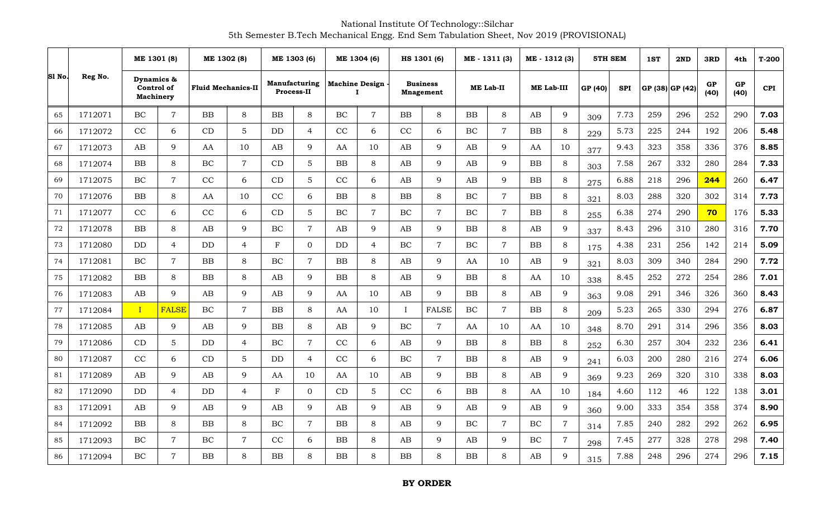National Institute Of Technology::Silchar 5th Semester B.Tech Mechanical Engg. End Sem Tabulation Sheet, Nov 2019 (PROVISIONAL)

| Sl No. |         | ME 1301 (8)                                  |                 |                           | ME 1302 (8)      | ME 1303 (6)  |                                           | ME 1304 (6) |                                   | HS 1301 (6)            |                                     | ME - 1311 (3) |                  | ME - 1312 (3) |                |         | <b>5TH SEM</b> | 1ST | 2ND             | 3RD        | 4th        | $T-200$    |
|--------|---------|----------------------------------------------|-----------------|---------------------------|------------------|--------------|-------------------------------------------|-------------|-----------------------------------|------------------------|-------------------------------------|---------------|------------------|---------------|----------------|---------|----------------|-----|-----------------|------------|------------|------------|
|        | Reg No. | Dynamics &<br>Control of<br><b>Machinery</b> |                 | <b>Fluid Mechanics-II</b> |                  |              | <b>Manufacturing</b><br><b>Process-II</b> |             | <b>Machine Design</b><br>$\bf{I}$ |                        | <b>Business</b><br><b>Mnagement</b> |               | <b>ME Lab-II</b> | ME Lab-III    |                | GP (40) | <b>SPI</b>     |     | GP (38) GP (42) | GP<br>(40) | GP<br>(40) | <b>CPI</b> |
| 65     | 1712071 | BC                                           | $\overline{7}$  | BB                        | 8                | <b>BB</b>    | 8                                         | BC          | $\overline{7}$                    | <b>BB</b>              | 8                                   | <b>BB</b>     | 8                | AB            | 9              | 309     | 7.73           | 259 | 296             | 252        | 290        | 7.03       |
| 66     | 1712072 | CC                                           | 6               | CD                        | 5                | DD           | $\overline{4}$                            | CC          | 6                                 | CC                     | 6                                   | BC            | $\overline{7}$   | ${\bf BB}$    | $\,8\,$        | 229     | 5.73           | 225 | 244             | 192        | 206        | 5.48       |
| 67     | 1712073 | AB                                           | 9               | AA                        | 10               | AB           | 9                                         | AA          | 10                                | AB                     | 9                                   | AB            | 9                | AA            | 10             | 377     | 9.43           | 323 | 358             | 336        | 376        | 8.85       |
| 68     | 1712074 | <b>BB</b>                                    | 8               | BC                        | $\overline{7}$   | CD           | $5\overline{)}$                           | BB          | 8                                 | AB                     | 9                                   | AB            | 9                | <b>BB</b>     | 8              | 303     | 7.58           | 267 | 332             | 280        | 284        | 7.33       |
| 69     | 1712075 | <b>BC</b>                                    | $\overline{7}$  | CC                        | 6                | CD           | 5                                         | CC          | 6                                 | AB                     | 9                                   | AB            | 9                | <b>BB</b>     | $\,8\,$        | 275     | 6.88           | 218 | 296             | 244        | 260        | 6.47       |
| 70     | 1712076 | BB                                           | 8               | AA                        | 10               | CC           | 6                                         | ${\bf BB}$  | 8                                 | ${\bf BB}$             | 8                                   | BC            | $\overline{7}$   | <b>BB</b>     | 8              | 321     | 8.03           | 288 | 320             | 302        | 314        | 7.73       |
| 71     | 1712077 | CC                                           | 6               | CC                        | 6                | CD           | 5                                         | BC          | $\overline{7}$                    | BC                     | $\overline{7}$                      | BC            | $\overline{7}$   | <b>BB</b>     | 8              | 255     | 6.38           | 274 | 290             | 70         | 176        | 5.33       |
| 72     | 1712078 | <b>BB</b>                                    | 8               | AB                        | 9                | $\rm BC$     | $\overline{7}$                            | AB          | 9                                 | AB                     | 9                                   | <b>BB</b>     | $8\,$            | AB            | 9              | 337     | 8.43           | 296 | 310             | 280        | 316        | 7.70       |
| 73     | 1712080 | <b>DD</b>                                    | $\overline{4}$  | <b>DD</b>                 | 4                | $\mathbf{F}$ | $\Omega$                                  | <b>DD</b>   | $\overline{4}$                    | BC                     | $\overline{7}$                      | BC            | $\overline{7}$   | <b>BB</b>     | 8              | 175     | 4.38           | 231 | 256             | 142        | 214        | 5.09       |
| 74     | 1712081 | BC                                           | $\overline{7}$  | ${\bf BB}$                | 8                | $\rm BC$     | $\overline{7}$                            | ${\bf BB}$  | 8                                 | $\mathbf{A}\mathbf{B}$ | 9                                   | AA            | 10               | AB            | $\mathbf Q$    | 321     | 8.03           | 309 | 340             | 284        | 290        | 7.72       |
| 75     | 1712082 | <b>BB</b>                                    | 8               | BB                        | $\,8\,$          | AB           | 9                                         | BB          | 8                                 | AB                     | 9                                   | <b>BB</b>     | $\,8\,$          | AA            | 10             | 338     | 8.45           | 252 | 272             | 254        | 286        | 7.01       |
| 76     | 1712083 | AB                                           | 9               | AB                        | 9                | AB           | 9                                         | AA          | 10                                | AB                     | 9                                   | <b>BB</b>     | 8                | AB            | 9              | 363     | 9.08           | 291 | 346             | 326        | 360        | 8.43       |
| 77     | 1712084 | $\mathbf{I}$                                 | <b>FALSE</b>    | $\rm BC$                  | $\boldsymbol{7}$ | <b>BB</b>    | 8                                         | AA          | 10                                | $\mathbf I$            | <b>FALSE</b>                        | BC            | $\overline{7}$   | <b>BB</b>     | 8              | 209     | 5.23           | 265 | 330             | 294        | 276        | 6.87       |
| 78     | 1712085 | AB                                           | 9               | AB                        | 9                | <b>BB</b>    | 8                                         | AB          | 9                                 | BC                     | $\overline{7}$                      | AA            | 10               | AA            | 10             | 348     | 8.70           | 291 | 314             | 296        | 356        | 8.03       |
| 79     | 1712086 | CD                                           | $5\overline{)}$ | DD                        | $\overline{4}$   | $\rm BC$     | $\overline{7}$                            | CC          | 6                                 | $\mathbf{A}\mathbf{B}$ | 9                                   | BB            | $8\,$            | ${\bf BB}$    | $\,8\,$        | 252     | 6.30           | 257 | 304             | 232        | 236        | 6.41       |
| 80     | 1712087 | CC                                           | 6               | CD                        | $\mathbf 5$      | <b>DD</b>    | $\overline{4}$                            | CC          | 6                                 | BC                     | $\overline{7}$                      | <b>BB</b>     | 8                | AB            | 9              | 241     | 6.03           | 200 | 280             | 216        | 274        | 6.06       |
| 81     | 1712089 | AB                                           | 9               | AB                        | 9                | AA           | 10                                        | AA          | 10                                | AB                     | 9                                   | <b>BB</b>     | $8\,$            | AB            | 9              | 369     | 9.23           | 269 | 320             | 310        | 338        | 8.03       |
| 82     | 1712090 | DD.                                          | $\overline{4}$  | <b>DD</b>                 | $\overline{4}$   | F            | $\Omega$                                  | CD          | 5                                 | CC                     | 6                                   | <b>BB</b>     | $8\,$            | AA            | 10             | 184     | 4.60           | 112 | 46              | 122        | 138        | 3.01       |
| 83     | 1712091 | AB                                           | 9               | AB                        | 9                | AB           | 9                                         | AB          | $\mathbf Q$                       | $\mathbf{A}\mathbf{B}$ | 9                                   | AB            | 9                | AB            | 9              | 360     | 9.00           | 333 | 354             | 358        | 374        | 8.90       |
| 84     | 1712092 | <b>BB</b>                                    | 8               | BB                        | 8                | BC           | $\overline{7}$                            | BB          | 8                                 | AB                     | 9                                   | BC            | $\overline{7}$   | BC            | $\overline{7}$ | 314     | 7.85           | 240 | 282             | 292        | 262        | 6.95       |
| 85     | 1712093 | BC                                           | $\overline{7}$  | BC                        | $\overline{7}$   | CC           | 6                                         | <b>BB</b>   | 8                                 | AB                     | 9                                   | AB            | 9                | BC            | $\overline{7}$ | 298     | 7.45           | 277 | 328             | 278        | 298        | 7.40       |
| 86     | 1712094 | <b>BC</b>                                    | $\overline{7}$  | <b>BB</b>                 | 8                | <b>BB</b>    | 8                                         | BB          | 8                                 | <b>BB</b>              | 8                                   | BB            | 8                | AB            | 9              | 315     | 7.88           | 248 | 296             | 274        | 296        | 7.15       |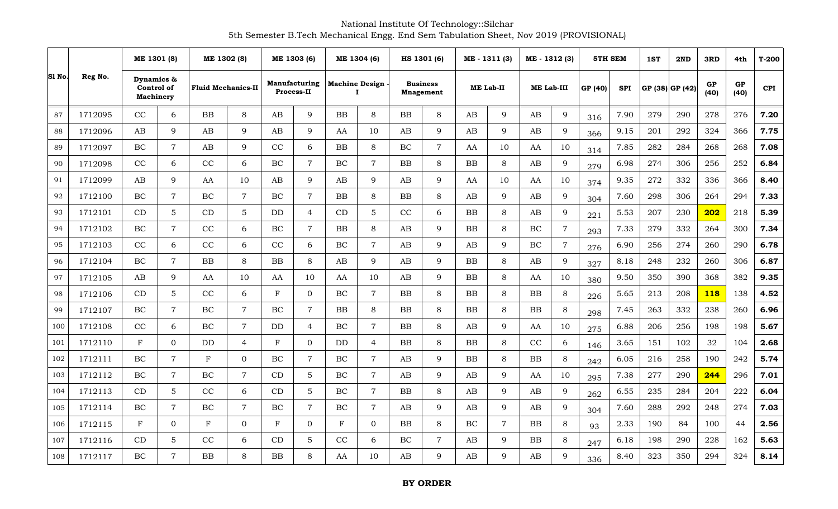National Institute Of Technology::Silchar 5th Semester B.Tech Mechanical Engg. End Sem Tabulation Sheet, Nov 2019 (PROVISIONAL)

|        |         | ME 1301 (8)                                  |                | ME 1302 (8)               |                  | ME 1303 (6)  |                                           | ME 1304 (6)            |                                   |                        | HS 1301 (6)                         |           | ME - 1311 (3)    | ME - 1312 (3)          |                |         | <b>5TH SEM</b> | 1ST | 2ND             | 3RD        | 4th        | $T-200$    |
|--------|---------|----------------------------------------------|----------------|---------------------------|------------------|--------------|-------------------------------------------|------------------------|-----------------------------------|------------------------|-------------------------------------|-----------|------------------|------------------------|----------------|---------|----------------|-----|-----------------|------------|------------|------------|
| Sl No. | Reg No. | Dynamics &<br>Control of<br><b>Machinery</b> |                | <b>Fluid Mechanics-II</b> |                  |              | <b>Manufacturing</b><br><b>Process-II</b> |                        | <b>Machine Design</b><br>$\bf{I}$ |                        | <b>Business</b><br><b>Mnagement</b> |           | <b>ME Lab-II</b> |                        | ME Lab-III     | GP (40) | <b>SPI</b>     |     | GP (38) GP (42) | GP<br>(40) | GP<br>(40) | <b>CPI</b> |
| 87     | 1712095 | CC                                           | 6              | <b>BB</b>                 | 8                | AB           | 9                                         | <b>BB</b>              | 8                                 | <b>BB</b>              | 8                                   | AB        | 9                | AB                     | 9              | 316     | 7.90           | 279 | 290             | 278        | 276        | 7.20       |
| 88     | 1712096 | AB                                           | 9              | AB                        | 9                | AB           | 9                                         | AA                     | 10                                | $\mathbf{A}\mathbf{B}$ | 9                                   | AB        | 9                | AB                     | $\mathbf Q$    | 366     | 9.15           | 201 | 292             | 324        | 366        | 7.75       |
| 89     | 1712097 | <b>BC</b>                                    | $\overline{7}$ | AB                        | 9                | $\rm CC$     | 6                                         | BB                     | 8                                 | BC                     | $\overline{7}$                      | AA        | 10               | AA                     | 10             | 314     | 7.85           | 282 | 284             | 268        | 268        | 7.08       |
| 90     | 1712098 | CC                                           | 6              | CC                        | 6                | BC           | $\overline{7}$                            | $\rm BC$               | $\overline{7}$                    | <b>BB</b>              | 8                                   | <b>BB</b> | 8                | AB                     | 9              | 279     | 6.98           | 274 | 306             | 256        | 252        | 6.84       |
| 91     | 1712099 | AB                                           | 9              | AA                        | 10               | AB           | 9                                         | $\mathbf{A}\mathbf{B}$ | 9                                 | AB                     | 9                                   | AA        | 10               | AA                     | 10             | 374     | 9.35           | 272 | 332             | 336        | 366        | 8.40       |
| 92     | 1712100 | BC                                           | $\overline{7}$ | $\rm BC$                  | $\overline{7}$   | $\rm BC$     | $\overline{7}$                            | ${\bf BB}$             | 8                                 | ${\bf BB}$             | 8                                   | AB        | 9                | AB                     | 9              | 304     | 7.60           | 298 | 306             | 264        | 294        | 7.33       |
| 93     | 1712101 | CD                                           | $5\phantom{.}$ | CD                        | 5                | <b>DD</b>    | $\overline{4}$                            | CD                     | 5                                 | CC                     | 6                                   | <b>BB</b> | 8                | AB                     | 9              | 221     | 5.53           | 207 | 230             | 202        | 218        | 5.39       |
| 94     | 1712102 | BC                                           | $\overline{7}$ | CC                        | 6                | $\rm BC$     | $\overline{7}$                            | BB                     | 8                                 | AB                     | 9                                   | <b>BB</b> | $8\,$            | $\rm BC$               | $\overline{7}$ | 293     | 7.33           | 279 | 332             | 264        | 300        | 7.34       |
| 95     | 1712103 | CC                                           | 6              | CC                        | 6                | CC           | 6                                         | BC                     | $\overline{7}$                    | AB                     | 9                                   | AB        | 9                | BC                     | $\overline{7}$ | 276     | 6.90           | 256 | 274             | 260        | 290        | 6.78       |
| 96     | 1712104 | BC                                           | $\overline{7}$ | ${\bf BB}$                | 8                | $\rm BB$     | 8                                         | AB                     | $\mathbf Q$                       | $\mathbf{A}\mathbf{B}$ | 9                                   | BB        | $\,8\,$          | $\mathbf{A}\mathbf{B}$ | $\mathbf Q$    | 327     | 8.18           | 248 | 232             | 260        | 306        | 6.87       |
| 97     | 1712105 | AB                                           | 9              | AA                        | 10               | AA           | 10                                        | AA                     | 10                                | AB                     | 9                                   | <b>BB</b> | $\,8\,$          | AA                     | 10             | 380     | 9.50           | 350 | 390             | 368        | 382        | 9.35       |
| 98     | 1712106 | CD                                           | $\overline{5}$ | CC                        | 6                | $\mathbf{F}$ | $\overline{0}$                            | BC                     | $\overline{7}$                    | <b>BB</b>              | 8                                   | <b>BB</b> | 8                | ${\bf BB}$             | 8              | 226     | 5.65           | 213 | 208             | <b>118</b> | 138        | 4.52       |
| 99     | 1712107 | BC                                           | $\overline{7}$ | $\rm BC$                  | $\boldsymbol{7}$ | BC           | $\overline{7}$                            | <b>BB</b>              | 8                                 | BB                     | 8                                   | <b>BB</b> | 8                | <b>BB</b>              | 8              | 298     | 7.45           | 263 | 332             | 238        | 260        | 6.96       |
| 100    | 1712108 | CC                                           | 6              | <b>BC</b>                 | $\overline{7}$   | <b>DD</b>    | $\overline{4}$                            | BC                     | $\overline{7}$                    | <b>BB</b>              | 8                                   | AB        | 9                | AA                     | 10             | 275     | 6.88           | 206 | 256             | 198        | 198        | 5.67       |
| 101    | 1712110 | $\mathbf{F}$                                 | $\Omega$       | DD                        | $\overline{4}$   | F            | $\Omega$                                  | $\rm{DD}$              | 4                                 | ${\bf BB}$             | 8                                   | BB        | $8\,$            | CC                     | 6              | 146     | 3.65           | 151 | 102             | 32         | 104        | 2.68       |
| 102    | 1712111 | BC                                           | $\overline{7}$ | F                         | $\mathbf{0}$     | BC           | $\overline{7}$                            | BC                     | $\overline{7}$                    | AB                     | 9                                   | <b>BB</b> | 8                | <b>BB</b>              | 8              | 242     | 6.05           | 216 | 258             | 190        | 242        | 5.74       |
| 103    | 1712112 | BC                                           | $\overline{7}$ | $\rm BC$                  | $\overline{7}$   | CD           | 5                                         | $\rm BC$               | $\overline{7}$                    | AB                     | 9                                   | AB        | 9                | AA                     | 10             | 295     | 7.38           | 277 | 290             | 244        | 296        | 7.01       |
| 104    | 1712113 | CD                                           | $5\phantom{.}$ | CC                        | 6                | CD           | $5\overline{)}$                           | BC                     | $\overline{7}$                    | <b>BB</b>              | 8                                   | AB        | 9                | AB                     | 9              | 262     | 6.55           | 235 | 284             | 204        | 222        | 6.04       |
| 105    | 1712114 | BC                                           | $\overline{7}$ | $\rm BC$                  | $\overline{7}$   | $\rm BC$     | $\overline{7}$                            | $\rm BC$               | $\overline{7}$                    | $\mathbf{A}\mathbf{B}$ | 9                                   | AB        | 9                | AB                     | 9              | 304     | 7.60           | 288 | 292             | 248        | 274        | 7.03       |
| 106    | 1712115 | F                                            | $\Omega$       | $\mathbf F$               | $\mathbf{0}$     | F            | $\Omega$                                  | $\mathbf F$            | $\Omega$                          | BB                     | 8                                   | BC        | $\overline{7}$   | BB                     | 8              | 93      | 2.33           | 190 | 84              | 100        | 44         | 2.56       |
| 107    | 1712116 | CD                                           | 5              | CC                        | 6                | CD           | 5                                         | CC                     | 6                                 | $\rm BC$               | $\overline{7}$                      | AB        | 9                | BB                     | 8              | 247     | 6.18           | 198 | 290             | 228        | 162        | 5.63       |
| 108    | 1712117 | BC                                           | $\overline{7}$ | BB                        | 8                | <b>BB</b>    | 8                                         | AA                     | 10                                | AB                     | 9                                   | AB        | 9                | AB                     | 9              | 336     | 8.40           | 323 | 350             | 294        | 324        | 8.14       |